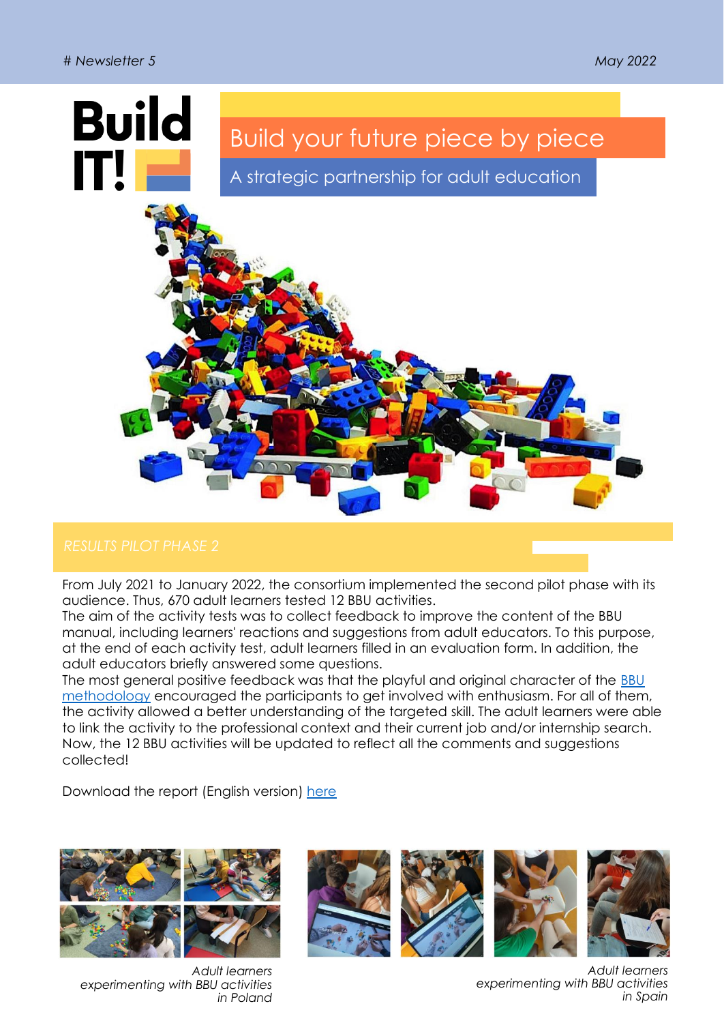

From July 2021 to January 2022, the consortium implemented the second pilot phase with its audience. Thus, 670 adult learners tested 12 BBU activities.

The aim of the activity tests was to collect feedback to improve the content of the BBU manual, including learners' reactions and suggestions from adult educators. To this purpose, at the end of each activity test, adult learners filled in an evaluation form. In addition, the adult educators briefly answered some questions.

The most general positive feedback was that the playful and original character of the [BBU](https://www.builditproject.eu/non-formal-adult-education-and-bbu-methodology/)  [methodology](https://www.builditproject.eu/non-formal-adult-education-and-bbu-methodology/) encouraged the participants to get involved with enthusiasm. For all of them, the activity allowed a better understanding of the targeted skill. The adult learners were able to link the activity to the professional context and their current job and/or internship search. Now, the 12 BBU activities will be updated to reflect all the comments and suggestions collected!

Download the report (English version) [here](https://www.builditproject.eu/wp-content/uploads/2021/04/Report-Pilot-Phase-2.pdf)



*Adult learners experimenting with BBU activities in Poland*



*Adult learners experimenting with BBU activities in Spain*